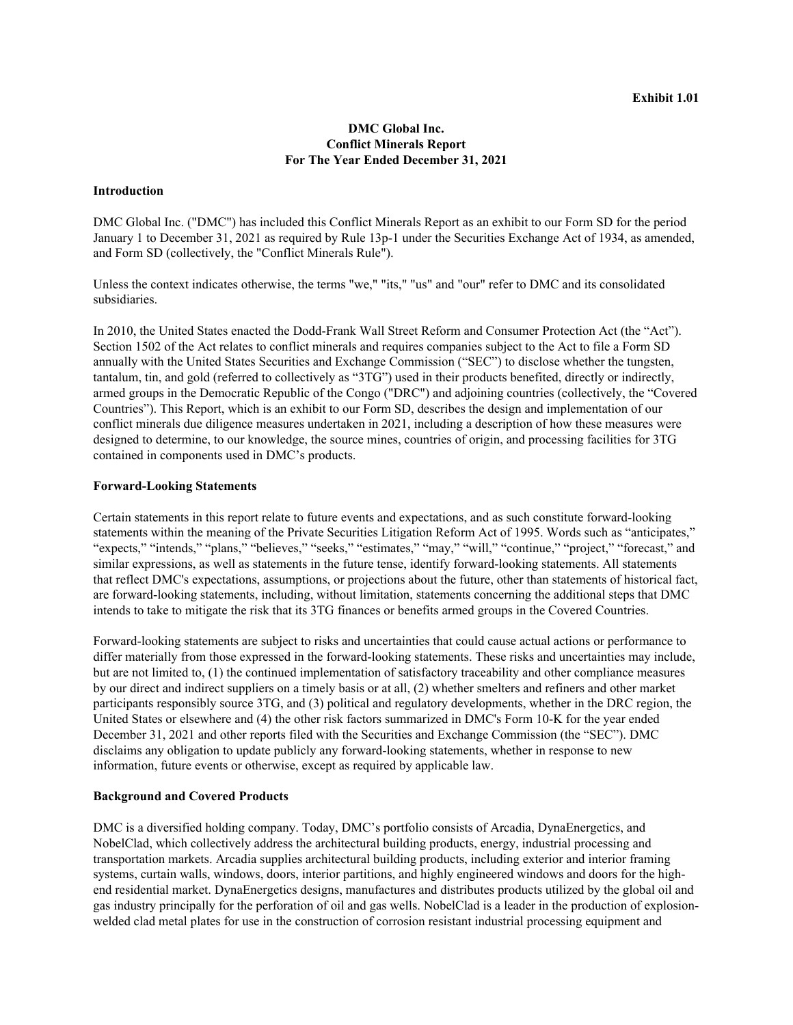## **DMC Global Inc. Conflict Minerals Report For The Year Ended December 31, 2021**

#### **Introduction**

DMC Global Inc. ("DMC") has included this Conflict Minerals Report as an exhibit to our Form SD for the period January 1 to December 31, 2021 as required by Rule 13p-1 under the Securities Exchange Act of 1934, as amended, and Form SD (collectively, the "Conflict Minerals Rule").

Unless the context indicates otherwise, the terms "we," "its," "us" and "our" refer to DMC and its consolidated subsidiaries.

In 2010, the United States enacted the Dodd-Frank Wall Street Reform and Consumer Protection Act (the "Act"). Section 1502 of the Act relates to conflict minerals and requires companies subject to the Act to file a Form SD annually with the United States Securities and Exchange Commission ("SEC") to disclose whether the tungsten, tantalum, tin, and gold (referred to collectively as "3TG") used in their products benefited, directly or indirectly, armed groups in the Democratic Republic of the Congo ("DRC") and adjoining countries (collectively, the "Covered Countries"). This Report, which is an exhibit to our Form SD, describes the design and implementation of our conflict minerals due diligence measures undertaken in 2021, including a description of how these measures were designed to determine, to our knowledge, the source mines, countries of origin, and processing facilities for 3TG contained in components used in DMC's products.

#### **Forward-Looking Statements**

Certain statements in this report relate to future events and expectations, and as such constitute forward-looking statements within the meaning of the Private Securities Litigation Reform Act of 1995. Words such as "anticipates," "expects," "intends," "plans," "believes," "seeks," "estimates," "may," "will," "continue," "project," "forecast," and similar expressions, as well as statements in the future tense, identify forward-looking statements. All statements that reflect DMC's expectations, assumptions, or projections about the future, other than statements of historical fact, are forward-looking statements, including, without limitation, statements concerning the additional steps that DMC intends to take to mitigate the risk that its 3TG finances or benefits armed groups in the Covered Countries.

Forward-looking statements are subject to risks and uncertainties that could cause actual actions or performance to differ materially from those expressed in the forward-looking statements. These risks and uncertainties may include, but are not limited to, (1) the continued implementation of satisfactory traceability and other compliance measures by our direct and indirect suppliers on a timely basis or at all, (2) whether smelters and refiners and other market participants responsibly source 3TG, and (3) political and regulatory developments, whether in the DRC region, the United States or elsewhere and (4) the other risk factors summarized in DMC's Form 10-K for the year ended December 31, 2021 and other reports filed with the Securities and Exchange Commission (the "SEC"). DMC disclaims any obligation to update publicly any forward-looking statements, whether in response to new information, future events or otherwise, except as required by applicable law.

#### **Background and Covered Products**

DMC is a diversified holding company. Today, DMC's portfolio consists of Arcadia, DynaEnergetics, and NobelClad, which collectively address the architectural building products, energy, industrial processing and transportation markets. Arcadia supplies architectural building products, including exterior and interior framing systems, curtain walls, windows, doors, interior partitions, and highly engineered windows and doors for the highend residential market. DynaEnergetics designs, manufactures and distributes products utilized by the global oil and gas industry principally for the perforation of oil and gas wells. NobelClad is a leader in the production of explosionwelded clad metal plates for use in the construction of corrosion resistant industrial processing equipment and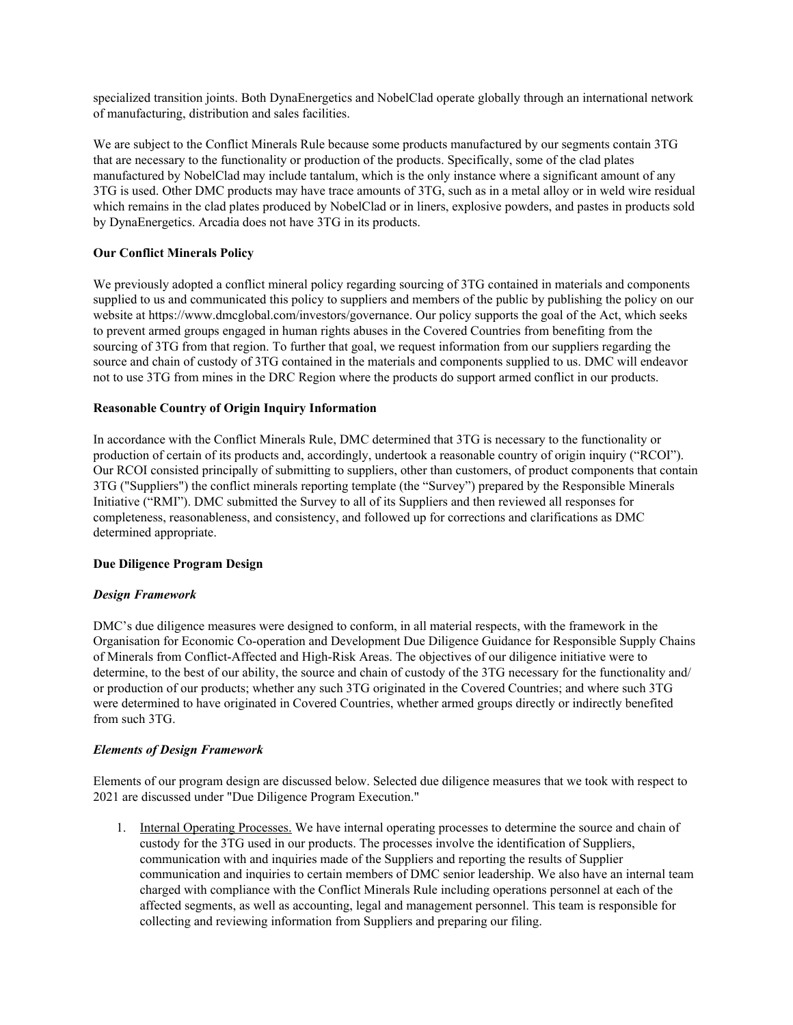specialized transition joints. Both DynaEnergetics and NobelClad operate globally through an international network of manufacturing, distribution and sales facilities.

We are subject to the Conflict Minerals Rule because some products manufactured by our segments contain 3TG that are necessary to the functionality or production of the products. Specifically, some of the clad plates manufactured by NobelClad may include tantalum, which is the only instance where a significant amount of any 3TG is used. Other DMC products may have trace amounts of 3TG, such as in a metal alloy or in weld wire residual which remains in the clad plates produced by NobelClad or in liners, explosive powders, and pastes in products sold by DynaEnergetics. Arcadia does not have 3TG in its products.

## **Our Conflict Minerals Policy**

We previously adopted a conflict mineral policy regarding sourcing of 3TG contained in materials and components supplied to us and communicated this policy to suppliers and members of the public by publishing the policy on our website at https://www.dmcglobal.com/investors/governance. Our policy supports the goal of the Act, which seeks to prevent armed groups engaged in human rights abuses in the Covered Countries from benefiting from the sourcing of 3TG from that region. To further that goal, we request information from our suppliers regarding the source and chain of custody of 3TG contained in the materials and components supplied to us. DMC will endeavor not to use 3TG from mines in the DRC Region where the products do support armed conflict in our products.

# **Reasonable Country of Origin Inquiry Information**

In accordance with the Conflict Minerals Rule, DMC determined that 3TG is necessary to the functionality or production of certain of its products and, accordingly, undertook a reasonable country of origin inquiry ("RCOI"). Our RCOI consisted principally of submitting to suppliers, other than customers, of product components that contain 3TG ("Suppliers") the conflict minerals reporting template (the "Survey") prepared by the Responsible Minerals Initiative ("RMI"). DMC submitted the Survey to all of its Suppliers and then reviewed all responses for completeness, reasonableness, and consistency, and followed up for corrections and clarifications as DMC determined appropriate.

## **Due Diligence Program Design**

## *Design Framework*

DMC's due diligence measures were designed to conform, in all material respects, with the framework in the Organisation for Economic Co-operation and Development Due Diligence Guidance for Responsible Supply Chains of Minerals from Conflict-Affected and High-Risk Areas. The objectives of our diligence initiative were to determine, to the best of our ability, the source and chain of custody of the 3TG necessary for the functionality and/ or production of our products; whether any such 3TG originated in the Covered Countries; and where such 3TG were determined to have originated in Covered Countries, whether armed groups directly or indirectly benefited from such 3TG.

## *Elements of Design Framework*

Elements of our program design are discussed below. Selected due diligence measures that we took with respect to 2021 are discussed under "Due Diligence Program Execution."

1. Internal Operating Processes. We have internal operating processes to determine the source and chain of custody for the 3TG used in our products. The processes involve the identification of Suppliers, communication with and inquiries made of the Suppliers and reporting the results of Supplier communication and inquiries to certain members of DMC senior leadership. We also have an internal team charged with compliance with the Conflict Minerals Rule including operations personnel at each of the affected segments, as well as accounting, legal and management personnel. This team is responsible for collecting and reviewing information from Suppliers and preparing our filing.